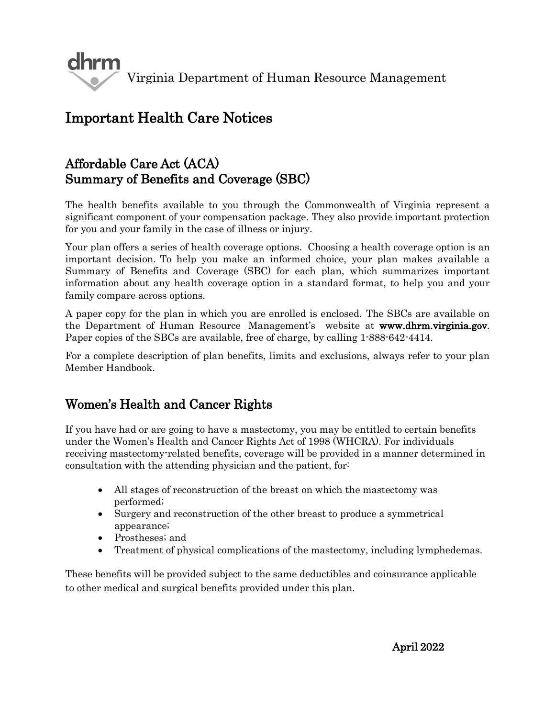

# Important Health Care Notices

### Affordable Care Act (ACA) Summary of Benefits and Coverage (SBC)

The health benefits available to you through the Commonwealth of Virginia represent a significant component of your compensation package. They also provide important protection for you and your family in the case of illness or injury.

Your plan offers a series of health coverage options. Choosing a health coverage option is an important decision. To help you make an informed choice, your plan makes available a Summary of Benefits and Coverage (SBC) for each plan, which summarizes important information about any health coverage option in a standard format, to help you and your family compare across options.

A paper copy for the plan in which you are enrolled is enclosed. The SBCs are available on the Department of Human Resource Management's website at [www.dhrm.virginia.gov.](http://www.dhrm.virginia.gov/) Paper copies of the SBCs are available, free of charge, by calling 1-888-642-4414.

For a complete description of plan benefits, limits and exclusions, always refer to your plan Member Handbook.

### Women's Health and Cancer Rights

If you have had or are going to have a mastectomy, you may be entitled to certain benefits under the Women's Health and Cancer Rights Act of 1998 (WHCRA). For individuals receiving mastectomy-related benefits, coverage will be provided in a manner determined in consultation with the attending physician and the patient, for:

- All stages of reconstruction of the breast on which the mastectomy was performed;
- Surgery and reconstruction of the other breast to produce a symmetrical appearance;
- Prostheses; and
- Treatment of physical complications of the mastectomy, including lymphedemas.

These benefits will be provided subject to the same deductibles and coinsurance applicable to other medical and surgical benefits provided under this plan.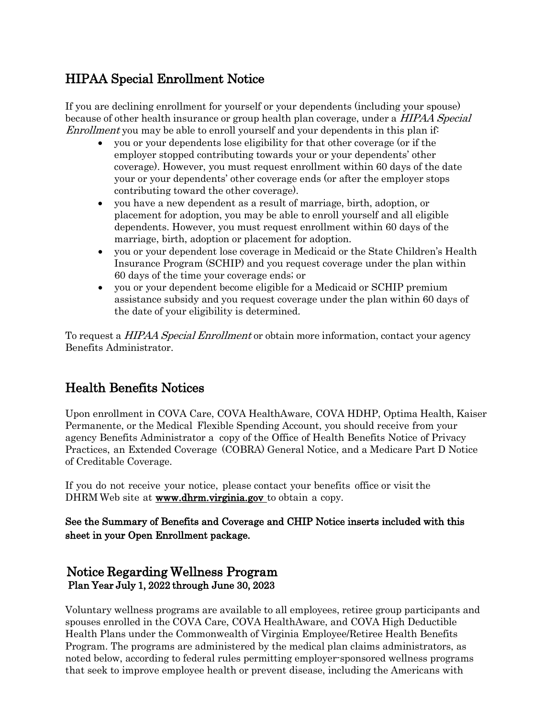## HIPAA Special Enrollment Notice

If you are declining enrollment for yourself or your dependents (including your spouse) because of other health insurance or group health plan coverage, under a *HIPAA Special* Enrollment you may be able to enroll yourself and your dependents in this plan if:

- you or your dependents lose eligibility for that other coverage (or if the employer stopped contributing towards your or your dependents' other coverage). However, you must request enrollment within 60 days of the date your or your dependents' other coverage ends (or after the employer stops contributing toward the other coverage).
- you have a new dependent as a result of marriage, birth, adoption, or placement for adoption, you may be able to enroll yourself and all eligible dependents. However, you must request enrollment within 60 days of the marriage, birth, adoption or placement for adoption.
- you or your dependent lose coverage in Medicaid or the State Children's Health Insurance Program (SCHIP) and you request coverage under the plan within 60 days of the time your coverage ends; or
- you or your dependent become eligible for a Medicaid or SCHIP premium assistance subsidy and you request coverage under the plan within 60 days of the date of your eligibility is determined.

To request a *HIPAA Special Enrollment* or obtain more information, contact your agency Benefits Administrator.

## Health Benefits Notices

Upon enrollment in COVA Care, COVA HealthAware, COVA HDHP, Optima Health, Kaiser Permanente, or the Medical Flexible Spending Account, you should receive from your agency Benefits Administrator a copy of the Office of Health Benefits Notice of Privacy Practices, an Extended Coverage (COBRA) General Notice, and a Medicare Part D Notice of Creditable Coverage.

If you do not receive your notice, please contact your benefits office or visit the DHRM Web site at [www.dhrm.virginia.gov t](http://www.dhrm.virginia.gov/)o obtain a copy.

#### See the Summary of Benefits and Coverage and CHIP Notice inserts included with this sheet in your Open Enrollment package.

#### Notice Regarding Wellness Program Plan Year July 1, 2022 through June 30, 2023

Voluntary wellness programs are available to all employees, retiree group participants and spouses enrolled in the COVA Care, COVA HealthAware, and COVA High Deductible Health Plans under the Commonwealth of Virginia Employee/Retiree Health Benefits Program. The programs are administered by the medical plan claims administrators, as noted below, according to federal rules permitting employer-sponsored wellness programs that seek to improve employee health or prevent disease, including the Americans with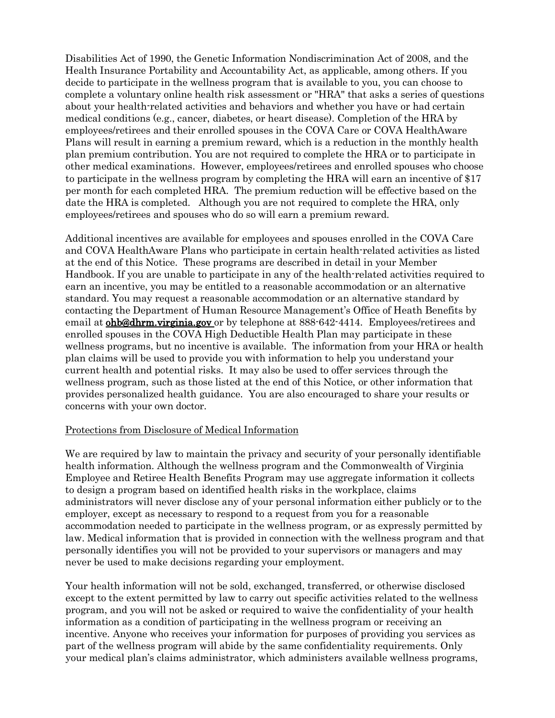Disabilities Act of 1990, the Genetic Information Nondiscrimination Act of 2008, and the Health Insurance Portability and Accountability Act, as applicable, among others. If you decide to participate in the wellness program that is available to you, you can choose to complete a voluntary online health risk assessment or "HRA" that asks a series of questions about your health-related activities and behaviors and whether you have or had certain medical conditions (e.g., cancer, diabetes, or heart disease). Completion of the HRA by employees/retirees and their enrolled spouses in the COVA Care or COVA HealthAware Plans will result in earning a premium reward, which is a reduction in the monthly health plan premium contribution. You are not required to complete the HRA or to participate in other medical examinations. However, employees/retirees and enrolled spouses who choose to participate in the wellness program by completing the HRA will earn an incentive of \$17 per month for each completed HRA. The premium reduction will be effective based on the date the HRA is completed. Although you are not required to complete the HRA, only employees/retirees and spouses who do so will earn a premium reward.

Additional incentives are available for employees and spouses enrolled in the COVA Care and COVA HealthAware Plans who participate in certain health-related activities as listed at the end of this Notice. These programs are described in detail in your Member Handbook. If you are unable to participate in any of the health-related activities required to earn an incentive, you may be entitled to a reasonable accommodation or an alternative standard. You may request a reasonable accommodation or an alternative standard by contacting the Department of Human Resource Management's Office of Heath Benefits by email at **ohb@dhrm.virginia.gov** or by telephone at 888-642-4414. Employees/retirees and enrolled spouses in the COVA High Deductible Health Plan may participate in these wellness programs, but no incentive is available. The information from your HRA or health plan claims will be used to provide you with information to help you understand your current health and potential risks. It may also be used to offer services through the wellness program, such as those listed at the end of this Notice, or other information that provides personalized health guidance. You are also encouraged to share your results or concerns with your own doctor.

#### Protections from Disclosure of Medical Information

We are required by law to maintain the privacy and security of your personally identifiable health information. Although the wellness program and the Commonwealth of Virginia Employee and Retiree Health Benefits Program may use aggregate information it collects to design a program based on identified health risks in the workplace, claims administrators will never disclose any of your personal information either publicly or to the employer, except as necessary to respond to a request from you for a reasonable accommodation needed to participate in the wellness program, or as expressly permitted by law. Medical information that is provided in connection with the wellness program and that personally identifies you will not be provided to your supervisors or managers and may never be used to make decisions regarding your employment.

Your health information will not be sold, exchanged, transferred, or otherwise disclosed except to the extent permitted by law to carry out specific activities related to the wellness program, and you will not be asked or required to waive the confidentiality of your health information as a condition of participating in the wellness program or receiving an incentive. Anyone who receives your information for purposes of providing you services as part of the wellness program will abide by the same confidentiality requirements. Only your medical plan's claims administrator, which administers available wellness programs,